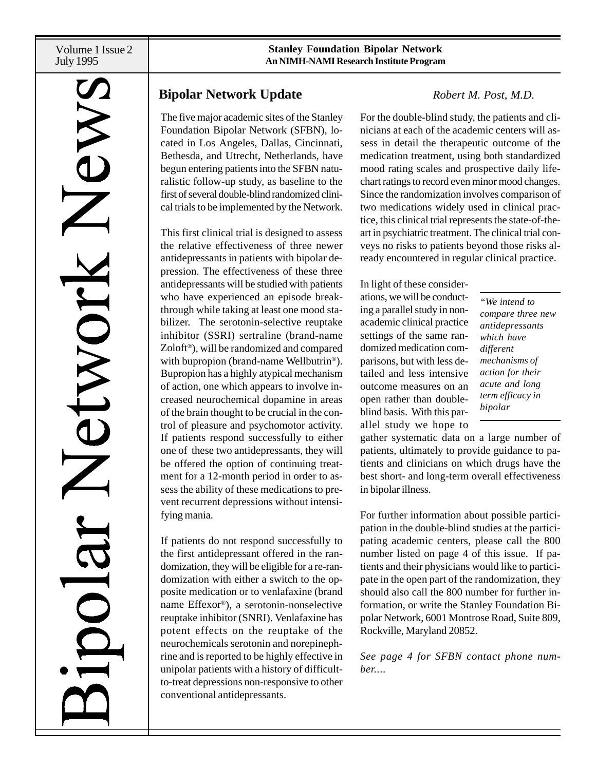# **N**

# **Bipolar Network Update** *Robert M. Post, M.D.*

The five major academic sites of the Stanley Foundation Bipolar Network (SFBN), located in Los Angeles, Dallas, Cincinnati, Bethesda, and Utrecht, Netherlands, have begun entering patients into the SFBN naturalistic follow-up study, as baseline to the first of several double-blind randomized clinical trials to be implemented by the Network.

This first clinical trial is designed to assess the relative effectiveness of three newer antidepressants in patients with bipolar depression. The effectiveness of these three antidepressants will be studied with patients who have experienced an episode breakthrough while taking at least one mood stabilizer. The serotonin-selective reuptake inhibitor (SSRI) sertraline (brand-name Zoloft®), will be randomized and compared with bupropion (brand-name Wellbutrin<sup>®</sup>). Bupropion has a highly atypical mechanism of action, one which appears to involve increased neurochemical dopamine in areas of the brain thought to be crucial in the control of pleasure and psychomotor activity. If patients respond successfully to either one of these two antidepressants, they will be offered the option of continuing treatment for a 12-month period in order to assess the ability of these medications to prevent recurrent depressions without intensifying mania.

If patients do not respond successfully to the first antidepressant offered in the randomization, they will be eligible for a re-randomization with either a switch to the opposite medication or to venlafaxine (brand name Effexor®), a serotonin-nonselective reuptake inhibitor (SNRI). Venlafaxine has potent effects on the reuptake of the neurochemicals serotonin and norepinephrine and is reported to be highly effective in unipolar patients with a history of difficultto-treat depressions non-responsive to other conventional antidepressants.

For the double-blind study, the patients and clinicians at each of the academic centers will assess in detail the therapeutic outcome of the medication treatment, using both standardized mood rating scales and prospective daily lifechart ratings to record even minor mood changes. Since the randomization involves comparison of two medications widely used in clinical practice, this clinical trial represents the state-of-theart in psychiatric treatment. The clinical trial conveys no risks to patients beyond those risks already encountered in regular clinical practice.

In light of these considerations, we will be conducting a parallel study in nonacademic clinical practice settings of the same randomized medication comparisons, but with less detailed and less intensive outcome measures on an open rather than doubleblind basis. With this parallel study we hope to

*"We intend to compare three new antidepressants which have different mechanisms of action for their acute and long term efficacy in bipolar*

gather systematic data on a large number of patients, ultimately to provide guidance to patients and clinicians on which drugs have the best short- and long-term overall effectiveness in bipolar illness.

For further information about possible participation in the double-blind studies at the participating academic centers, please call the 800 number listed on page 4 of this issue. If patients and their physicians would like to participate in the open part of the randomization, they should also call the 800 number for further information, or write the Stanley Foundation Bipolar Network, 6001 Montrose Road, Suite 809, Rockville, Maryland 20852.

*See page 4 for SFBN contact phone number....*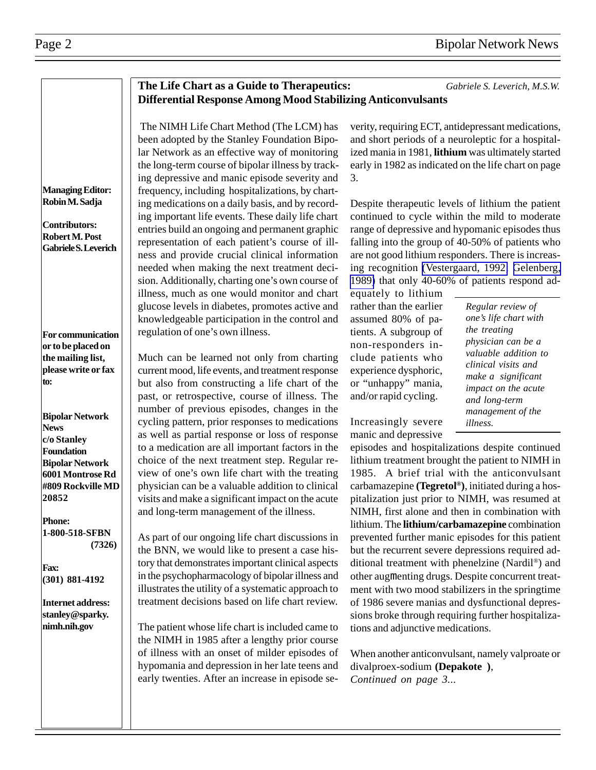### **The Life Chart as a Guide to Therapeutics:** *Gabriele S. Leverich, M.S.W.* **Differential Response Among Mood Stabilizing Anticonvulsants**

 The NIMH Life Chart Method (The LCM) has been adopted by the Stanley Foundation Bipolar Network as an effective way of monitoring the long-term course of bipolar illness by tracking depressive and manic episode severity and frequency, including hospitalizations, by charting medications on a daily basis, and by recording important life events. These daily life chart entries build an ongoing and permanent graphic representation of each patient's course of illness and provide crucial clinical information needed when making the next treatment decision. Additionally, charting one's own course of illness, much as one would monitor and chart glucose levels in diabetes, promotes active and knowledgeable participation in the control and regulation of one's own illness.

Much can be learned not only from charting current mood, life events, and treatment response but also from constructing a life chart of the past, or retrospective, course of illness. The number of previous episodes, changes in the cycling pattern, prior responses to medications as well as partial response or loss of response to a medication are all important factors in the choice of the next treatment step. Regular review of one's own life chart with the treating physician can be a valuable addition to clinical visits and make a significant impact on the acute and long-term management of the illness.

As part of our ongoing life chart discussions in the BNN, we would like to present a case history that demonstrates important clinical aspects in the psychopharmacology of bipolar illness and illustrates the utility of a systematic approach to treatment decisions based on life chart review.

The patient whose life chart is included came to the NIMH in 1985 after a lengthy prior course of illness with an onset of milder episodes of hypomania and depression in her late teens and early twenties. After an increase in episode severity, requiring ECT, antidepressant medications, and short periods of a neuroleptic for a hospitalized mania in 1981, **lithium** was ultimately started early in 1982 as indicated on the life chart on page 3.

Despite therapeutic levels of lithium the patient continued to cycle within the mild to moderate range of depressive and hypomanic episodes thus falling into the group of 40-50% of patients who are not good lithium responders. There is increasing recognition [\(Vestergaard, 1992;](http://www.ncbi.nlm.nih.gov:80/entrez/query.fcgi?cmd=Retrieve&db=PubMed&list_uids=1476592&dopt=Abstract) [Gelenberg,](http://www.ncbi.nlm.nih.gov:80/entrez/query.fcgi?cmd=Retrieve&db=PubMed&list_uids=2811970&dopt=Abstract) [1989\)](http://www.ncbi.nlm.nih.gov:80/entrez/query.fcgi?cmd=Retrieve&db=PubMed&list_uids=2811970&dopt=Abstract) that only 40-60% of patients respond ad-

equately to lithium rather than the earlier assumed 80% of patients. A subgroup of non-responders include patients who experience dysphoric, or "unhappy" mania, and/or rapid cycling.

Increasingly severe manic and depressive *Regular review of one's life chart with the treating physician can be a valuable addition to clinical visits and make a significant impact on the acute and long-term management of the illness.*

episodes and hospitalizations despite continued lithium treatment brought the patient to NIMH in 1985. A brief trial with the anticonvulsant carbamazepine **(Tegretol®)**, initiated during a hospitalization just prior to NIMH, was resumed at NIMH, first alone and then in combination with lithium. The **lithium/carbamazepine** combination prevented further manic episodes for this patient but the recurrent severe depressions required additional treatment with phenelzine (Nardil®) and other augmenting drugs. Despite concurrent treatment with two mood stabilizers in the springtime of 1986 severe manias and dysfunctional depressions broke through requiring further hospitalizations and adjunctive medications.

When another anticonvulsant, namely valproate or divalproex-sodium **(Depakote)**, *Continued on page 3...*

**Managing Editor: Robin M. Sadja**

**Contributors: Robert M. Post Gabriele S. Leverich**

**For communication or to be placed on the mailing list, please write or fax to:**

**Bipolar Network News c/o Stanley Foundation Bipolar Network 6001 Montrose Rd #809 Rockville MD 20852**

**Phone: 1-800-518-SFBN (7326)**

**Fax: (301) 881-4192**

**Internet address: stanley@sparky. nimh.nih.gov**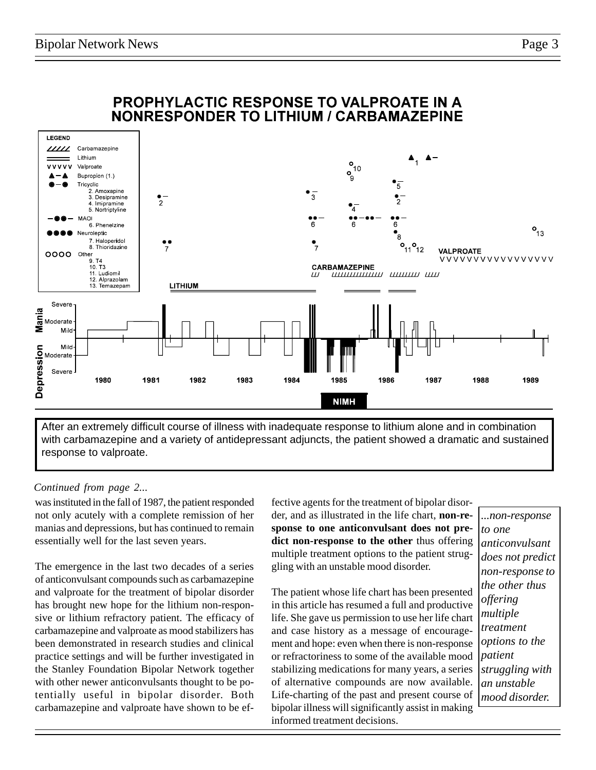

After an extremely difficult course of illness with inadequate response to lithium alone and in combination with carbamazepine and a variety of antidepressant adjuncts, the patient showed a dramatic and sustained response to valproate.

### *Continued from page 2...*

was instituted in the fall of 1987, the patient responded not only acutely with a complete remission of her manias and depressions, but has continued to remain essentially well for the last seven years.

The emergence in the last two decades of a series of anticonvulsant compounds such as carbamazepine and valproate for the treatment of bipolar disorder has brought new hope for the lithium non-responsive or lithium refractory patient. The efficacy of carbamazepine and valproate as mood stabilizers has been demonstrated in research studies and clinical practice settings and will be further investigated in the Stanley Foundation Bipolar Network together with other newer anticonvulsants thought to be potentially useful in bipolar disorder. Both carbamazepine and valproate have shown to be effective agents for the treatment of bipolar disorder, and as illustrated in the life chart, **non-response to one anticonvulsant does not predict non-response to the other** thus offering multiple treatment options to the patient struggling with an unstable mood disorder.

The patient whose life chart has been presented in this article has resumed a full and productive life. She gave us permission to use her life chart and case history as a message of encouragement and hope: even when there is non-response or refractoriness to some of the available mood stabilizing medications for many years, a series of alternative compounds are now available. Life-charting of the past and present course of bipolar illness will significantly assist in making informed treatment decisions.

*...non-response to one anticonvulsant does not predict non-response to the other thus offering multiple treatment options to the patient struggling with an unstable mood disorder.*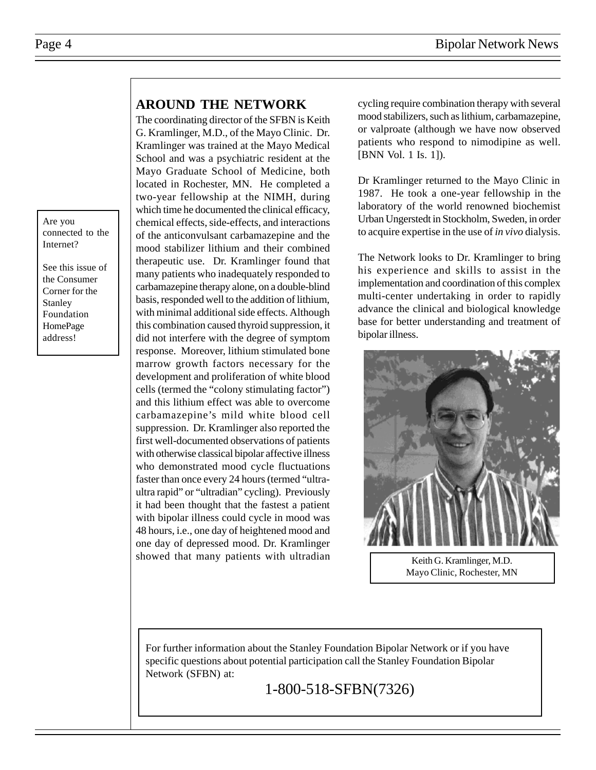Are you connected to the Internet?

See this issue of the Consumer Corner for the Stanley Foundation HomePage address!

## **AROUND THE NETWORK**

The coordinating director of the SFBN is Keith G. Kramlinger, M.D., of the Mayo Clinic. Dr. Kramlinger was trained at the Mayo Medical School and was a psychiatric resident at the Mayo Graduate School of Medicine, both located in Rochester, MN. He completed a two-year fellowship at the NIMH, during which time he documented the clinical efficacy, chemical effects, side-effects, and interactions of the anticonvulsant carbamazepine and the mood stabilizer lithium and their combined therapeutic use. Dr. Kramlinger found that many patients who inadequately responded to carbamazepine therapy alone, on a double-blind basis, responded well to the addition of lithium, with minimal additional side effects. Although this combination caused thyroid suppression, it did not interfere with the degree of symptom response. Moreover, lithium stimulated bone marrow growth factors necessary for the development and proliferation of white blood cells (termed the "colony stimulating factor") and this lithium effect was able to overcome carbamazepine's mild white blood cell suppression. Dr. Kramlinger also reported the first well-documented observations of patients with otherwise classical bipolar affective illness who demonstrated mood cycle fluctuations faster than once every 24 hours (termed "ultraultra rapid" or "ultradian" cycling). Previously it had been thought that the fastest a patient with bipolar illness could cycle in mood was 48 hours, i.e., one day of heightened mood and one day of depressed mood. Dr. Kramlinger showed that many patients with ultradian cycling require combination therapy with several mood stabilizers, such as lithium, carbamazepine, or valproate (although we have now observed patients who respond to nimodipine as well. [BNN Vol. 1 Is. 1]).

Dr Kramlinger returned to the Mayo Clinic in 1987. He took a one-year fellowship in the laboratory of the world renowned biochemist Urban Ungerstedt in Stockholm, Sweden, in order to acquire expertise in the use of *in vivo* dialysis.

The Network looks to Dr. Kramlinger to bring his experience and skills to assist in the implementation and coordination of this complex multi-center undertaking in order to rapidly advance the clinical and biological knowledge base for better understanding and treatment of bipolar illness.



Keith G. Kramlinger, M.D. Mayo Clinic, Rochester, MN

For further information about the Stanley Foundation Bipolar Network or if you have specific questions about potential participation call the Stanley Foundation Bipolar Network (SFBN) at:

1-800-518-SFBN(7326)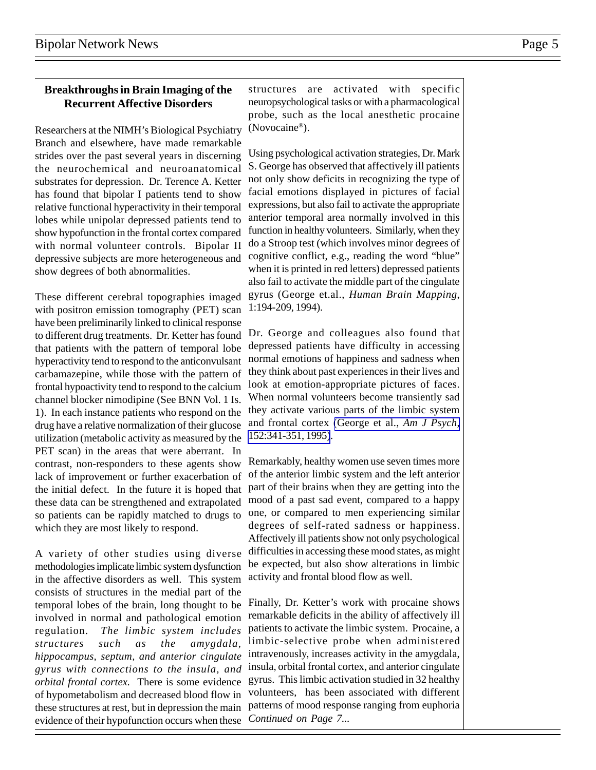### **Breakthroughs in Brain Imaging of the Recurrent Affective Disorders**

Researchers at the NIMH's Biological Psychiatry Branch and elsewhere, have made remarkable strides over the past several years in discerning the neurochemical and neuroanatomical substrates for depression. Dr. Terence A. Ketter has found that bipolar I patients tend to show relative functional hyperactivity in their temporal lobes while unipolar depressed patients tend to show hypofunction in the frontal cortex compared with normal volunteer controls. Bipolar II depressive subjects are more heterogeneous and show degrees of both abnormalities.

These different cerebral topographies imaged with positron emission tomography (PET) scan have been preliminarily linked to clinical response to different drug treatments. Dr. Ketter has found that patients with the pattern of temporal lobe hyperactivity tend to respond to the anticonvulsant carbamazepine, while those with the pattern of frontal hypoactivity tend to respond to the calcium channel blocker nimodipine (See BNN Vol. 1 Is. 1). In each instance patients who respond on the drug have a relative normalization of their glucose utilization (metabolic activity as measured by the PET scan) in the areas that were aberrant. In contrast, non-responders to these agents show lack of improvement or further exacerbation of the initial defect. In the future it is hoped that these data can be strengthened and extrapolated so patients can be rapidly matched to drugs to which they are most likely to respond.

A variety of other studies using diverse methodologies implicate limbic system dysfunction in the affective disorders as well. This system consists of structures in the medial part of the temporal lobes of the brain, long thought to be involved in normal and pathological emotion regulation. *The limbic system includes structures such as the amygdala, hippocampus, septum, and anterior cingulate gyrus with connections to the insula, and orbital frontal cortex.* There is some evidence of hypometabolism and decreased blood flow in these structures at rest, but in depression the main evidence of their hypofunction occurs when these

structures are activated with specific neuropsychological tasks or with a pharmacological probe, such as the local anesthetic procaine (Novocaine®).

Using psychological activation strategies, Dr. Mark S. George has observed that affectively ill patients not only show deficits in recognizing the type of facial emotions displayed in pictures of facial expressions, but also fail to activate the appropriate anterior temporal area normally involved in this function in healthy volunteers. Similarly, when they do a Stroop test (which involves minor degrees of cognitive conflict, e.g., reading the word "blue" when it is printed in red letters) depressed patients also fail to activate the middle part of the cingulate gyrus (George et.al., *Human Brain Mapping*, 1:194-209, 1994).

Dr. George and colleagues also found that depressed patients have difficulty in accessing normal emotions of happiness and sadness when they think about past experiences in their lives and look at emotion-appropriate pictures of faces. When normal volunteers become transiently sad they activate various parts of the limbic system and frontal cortex [\(George et al.,](http://www.ncbi.nlm.nih.gov:80/entrez/query.fcgi?cmd=Retrieve&db=PubMed&list_uids=7864258&dopt=Abstract) *Am J Psych*, [152:341-351, 1995\)](http://www.ncbi.nlm.nih.gov:80/entrez/query.fcgi?cmd=Retrieve&db=PubMed&list_uids=7864258&dopt=Abstract).

Remarkably, healthy women use seven times more of the anterior limbic system and the left anterior part of their brains when they are getting into the mood of a past sad event, compared to a happy one, or compared to men experiencing similar degrees of self-rated sadness or happiness. Affectively ill patients show not only psychological difficulties in accessing these mood states, as might be expected, but also show alterations in limbic activity and frontal blood flow as well.

Finally, Dr. Ketter's work with procaine shows remarkable deficits in the ability of affectively ill patients to activate the limbic system. Procaine, a limbic-selective probe when administered intravenously, increases activity in the amygdala, insula, orbital frontal cortex, and anterior cingulate gyrus. This limbic activation studied in 32 healthy volunteers, has been associated with different patterns of mood response ranging from euphoria *Continued on Page 7...*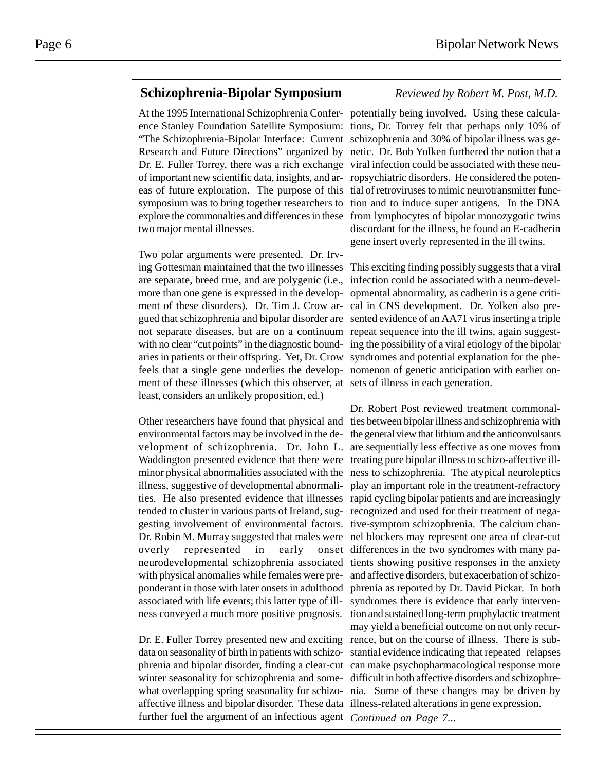### **Schizophrenia-Bipolar Symposium** *Reviewed by Robert M. Post, M.D.*

Research and Future Directions" organized by Dr. E. Fuller Torrey, there was a rich exchange of important new scientific data, insights, and areas of future exploration. The purpose of this symposium was to bring together researchers to explore the commonalties and differences in these two major mental illnesses.

Two polar arguments were presented. Dr. Irvare separate, breed true, and are polygenic (i.e., more than one gene is expressed in the development of these disorders). Dr. Tim J. Crow argued that schizophrenia and bipolar disorder are with no clear "cut points" in the diagnostic boundaries in patients or their offspring. Yet, Dr. Crow feels that a single gene underlies the development of these illnesses (which this observer, at sets of illness in each generation. least, considers an unlikely proposition, ed.)

Other researchers have found that physical and environmental factors may be involved in the development of schizophrenia. Dr. John L. illness, suggestive of developmental abnormalitended to cluster in various parts of Ireland, sugoverly represented in early with physical anomalies while females were preponderant in those with later onsets in adulthood associated with life events; this latter type of illness conveyed a much more positive prognosis.

Dr. E. Fuller Torrey presented new and exciting data on seasonality of birth in patients with schizowinter seasonality for schizophrenia and someaffective illness and bipolar disorder. These data illness-related alterations in gene expression. further fuel the argument of an infectious agent *Continued on Page 7...*

At the 1995 International Schizophrenia Confer-potentially being involved. Using these calculaence Stanley Foundation Satellite Symposium: tions, Dr. Torrey felt that perhaps only 10% of "The Schizophrenia-Bipolar Interface: Current schizophrenia and 30% of bipolar illness was genetic. Dr. Bob Yolken furthered the notion that a viral infection could be associated with these neuropsychiatric disorders. He considered the potential of retroviruses to mimic neurotransmitter function and to induce super antigens. In the DNA from lymphocytes of bipolar monozygotic twins discordant for the illness, he found an E-cadherin gene insert overly represented in the ill twins.

ing Gottesman maintained that the two illnesses This exciting finding possibly suggests that a viral not separate diseases, but are on a continuum repeat sequence into the ill twins, again suggestinfection could be associated with a neuro-developmental abnormality, as cadherin is a gene critical in CNS development. Dr. Yolken also presented evidence of an AA71 virus inserting a triple ing the possibility of a viral etiology of the bipolar syndromes and potential explanation for the phenomenon of genetic anticipation with earlier on-

Waddington presented evidence that there were treating pure bipolar illness to schizo-affective illminor physical abnormalities associated with the ness to schizophrenia. The atypical neuroleptics ties. He also presented evidence that illnesses rapid cycling bipolar patients and are increasingly gesting involvement of environmental factors. tive-symptom schizophrenia. The calcium chan-Dr. Robin M. Murray suggested that males were nel blockers may represent one area of clear-cut neurodevelopmental schizophrenia associated tients showing positive responses in the anxiety phrenia and bipolar disorder, finding a clear-cut can make psychopharmacological response more what overlapping spring seasonality for schizo-nia. Some of these changes may be driven by Dr. Robert Post reviewed treatment commonalties between bipolar illness and schizophrenia with the general view that lithium and the anticonvulsants are sequentially less effective as one moves from play an important role in the treatment-refractory recognized and used for their treatment of negaonset differences in the two syndromes with many paand affective disorders, but exacerbation of schizophrenia as reported by Dr. David Pickar. In both syndromes there is evidence that early intervention and sustained long-term prophylactic treatment may yield a beneficial outcome on not only recurrence, but on the course of illness. There is substantial evidence indicating that repeated relapses difficult in both affective disorders and schizophre-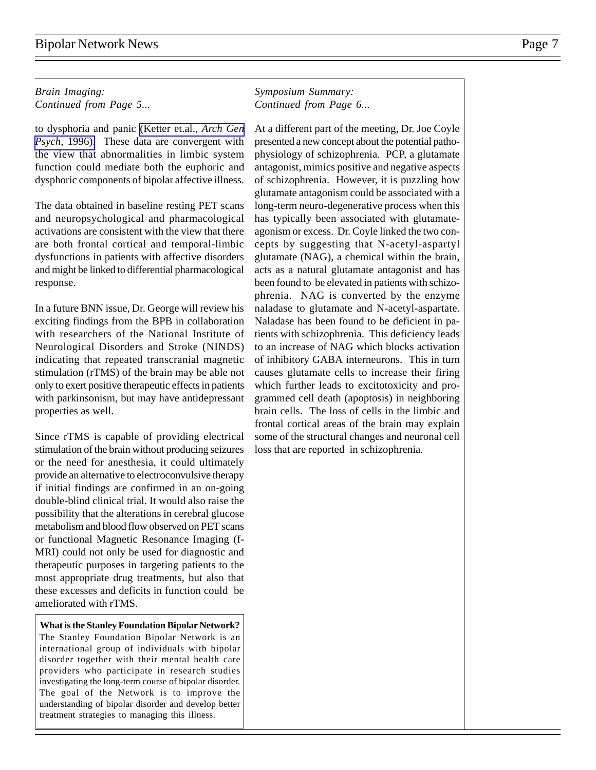### *Brain Imaging: Continued from Page 5...*

to dysphoria and panic [\(Ketter et.al.,](http://www.ncbi.nlm.nih.gov:80/entrez/query.fcgi?cmd=Retrieve&db=PubMed&list_uids=8540778&dopt=Abstract) *Arch Gen Psych*[, 1996\).](http://www.ncbi.nlm.nih.gov:80/entrez/query.fcgi?cmd=Retrieve&db=PubMed&list_uids=8540778&dopt=Abstract) These data are convergent with the view that abnormalities in limbic system function could mediate both the euphoric and dysphoric components of bipolar affective illness.

The data obtained in baseline resting PET scans and neuropsychological and pharmacological activations are consistent with the view that there are both frontal cortical and temporal-limbic dysfunctions in patients with affective disorders and might be linked to differential pharmacological response.

In a future BNN issue, Dr. George will review his exciting findings from the BPB in collaboration with researchers of the National Institute of Neurological Disorders and Stroke (NINDS) indicating that repeated transcranial magnetic stimulation (rTMS) of the brain may be able not only to exert positive therapeutic effects in patients with parkinsonism, but may have antidepressant properties as well.

Since rTMS is capable of providing electrical stimulation of the brain without producing seizures or the need for anesthesia, it could ultimately provide an alternative to electroconvulsive therapy if initial findings are confirmed in an on-going double-blind clinical trial. It would also raise the possibility that the alterations in cerebral glucose metabolism and blood flow observed on PET scans or functional Magnetic Resonance Imaging (f-MRI) could not only be used for diagnostic and therapeutic purposes in targeting patients to the most appropriate drug treatments, but also that these excesses and deficits in function could be ameliorated with rTMS.

**What is the Stanley Foundation Bipolar Network?** The Stanley Foundation Bipolar Network is an international group of individuals with bipolar disorder together with their mental health care providers who participate in research studies investigating the long-term course of bipolar disorder. The goal of the Network is to improve the understanding of bipolar disorder and develop better treatment strategies to managing this illness.

### *Symposium Summary: Continued from Page 6...*

At a different part of the meeting, Dr. Joe Coyle presented a new concept about the potential pathophysiology of schizophrenia. PCP, a glutamate antagonist, mimics positive and negative aspects of schizophrenia. However, it is puzzling how glutamate antagonism could be associated with a long-term neuro-degenerative process when this has typically been associated with glutamateagonism or excess. Dr. Coyle linked the two concepts by suggesting that N-acetyl-aspartyl glutamate (NAG), a chemical within the brain, acts as a natural glutamate antagonist and has been found to be elevated in patients with schizophrenia. NAG is converted by the enzyme naladase to glutamate and N-acetyl-aspartate. Naladase has been found to be deficient in patients with schizophrenia. This deficiency leads to an increase of NAG which blocks activation of inhibitory GABA interneurons. This in turn causes glutamate cells to increase their firing which further leads to excitotoxicity and programmed cell death (apoptosis) in neighboring brain cells. The loss of cells in the limbic and frontal cortical areas of the brain may explain some of the structural changes and neuronal cell loss that are reported in schizophrenia.